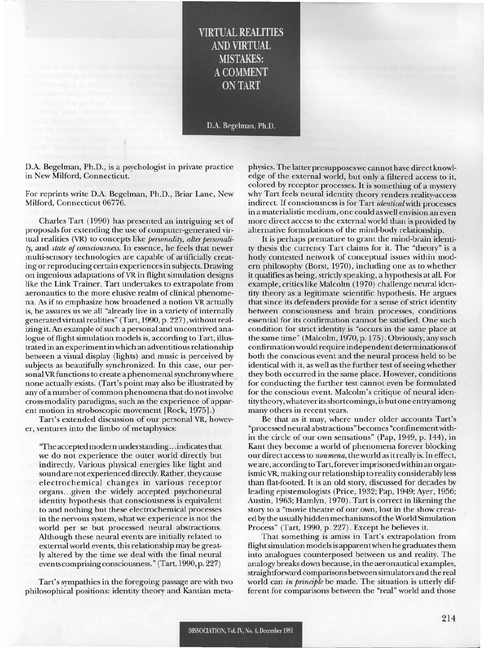## **VIRTUAL REALITIES** AND VIRTUAL **MISTAKES:** ACOMMENT ON TART

D.A. Begelman, Ph.D.

D.A. Begelman, Ph.D., is a psychologist in private practice in New Milford, Connecticut.

For reprints write D.A. Begelman, Ph.D., Briar Lane, New Milford, Connecticut 06776.

Charles Tart (1990) has presented an intriguing set of proposals for extending the use of computer-generated virtual realities (VR) to concepts like *personality*, *alter personality,* and *state of consciousness.* In essence, he feels that newer multi-sensory technologies are capable of artificially creating or reproducing certain experiences in subjects. Drawing on ingenious adaptations ofVR in flight simulation designs like the Link Trainer, Tart undertakes to extrapolate from aeronautics to the more elusive realm of clinical phenomena. As if to emphasize how broadened a notion VR actually is, he assures us we all "already live in a variety of internally generated virtual realities" (Tart, 1990, p. 227), withoutrealizing it. An example of such a personal and uncontrived analogue of flight simulation models is, according to Tart, illustrated in an experimentin which an adventitiousrelationship between a visual display (lights) and music is perceived by subjects as beautifully synchronized. In this case, our personal VR functions to create a phenomenal synchrony where none actually exists. (Tart's point may also be illustrated by any of a number of common phenomena that do not involve cross-modality paradigms, such as the experience of apparent motion in stroboscopic movement [Rock, 1975].)

Tart's extended discussion of our personal VR, however, ventures into the limbo of metaphysics:

'The accepted modern understanding.. .indicatesthat we do not experience the outer world directly but indirectly. Various physical energies like light and soundare not experienced directly. Rather, they cause electrochemical changes in various receptor organs...given the widely accepted psychoneural identity hypothesis that consciousness is equivalent to and nothing but these electrochemical processes in the nervous system, what we experience is not the world per se but processed neural abstractions. Although these neural events are initially related to external world events, this relationship may be greatly altered by the time we deal with the final neural events comprising consciousness." (Tart, 1990, p. 227)

Tart's sympathies in the foregoing passage are with two philosophical positions: identity *theory* and Kantian metaphysics. The latter presupposeswe cannot have direct knowledge of the external world, but only a filtered access to it, colored by receptor processes. It is something of a mystery why Tart feels neural identity *theory* renders reality-access indirect. If consciousness is for Tart *identical*with processes in a materialistic medium, one could as well envision an even more direct access to the external world than is provided by alternative formulations of the mind-body relationship.

It is perhaps premature to grant the mind-brain identity thesis the currency Tart claims for it. The *"theory"* is a hotly contested network of conceptual issues within modern philosophy (Borst, 1970), including one as to whether it qualifies as being, strictly speaking, a hypothesis at all. For example, critics like Malcolm (1970) challenge neural identity *theory* as a legitimate scientific hypothesis. He argues that since its defenders provide for a sense of strict identity between consciousness and brain processes, conditions essential for its confirmation cannot be satisfied. One such condition for strict identity is "occurs in the same place at the same time" (Malcolm, 1970, p. 175). Obviously, any such confirmation would require independent determinations of both the conscious event and the neural process held to be identical with it, as well as the further test of seeing whether they both occurred in the same place. However, conditions for conducting the further test cannot even be formulated for the conscious event. Malcolm's critique of neural identity *theory,* whateveritsshortcomings, is butone en*try* among many others in recent years.

Be that as it may, where under older accounts Tart's "processed neural abstractions" becomes "confinementwithin the circle of our own sensations" (Pap, 1949, p. 144), in Kant they become a world of phenomena forever blocking our direct accessto *noumena,* the world asitreally is. In effect, we are, according to Tart, forever imprisoned within an organismicVR, making our relationship to reality considerably less than flat-footed. It is an old *story,* discussed for decades by leading epistemologists (Price, 1932; Pap, 1949; Ayer, 1956; Austin, 1963; Hamlyn, 1970). Tart is correct in likening the *story* to a "movie theatre of our own, lost in the show created by the usually hidden mechanisms ofthe World Simulation Process" (Tart, 1990, p. 227). Except he believes it.

That something is amiss in Tart's extrapolation from flightsimulation modelsis apparentwhen he graduatesthem into analogues counterposed between us and reality. The analogy breaks down because, in the aeronautical examples, straightforward comparisons between simulators and the real world can *in principle* be made. The situation is utterly different for comparisons between the "real" world and those